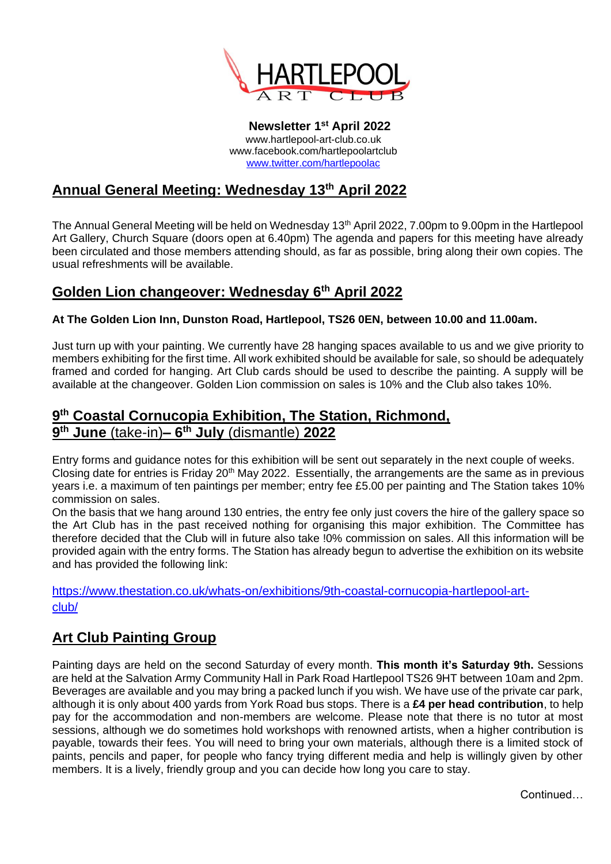

**Newsletter 1 st April 2022** www.hartlepool-art-club.co.uk www.facebook.com/hartlepoolartclub [www.twitter.com/hartlepoolac](http://www.twitter.com/hartlepoolac)

# **Annual General Meeting: Wednesday 13th April 2022**

The Annual General Meeting will be held on Wednesday 13<sup>th</sup> April 2022, 7.00pm to 9.00pm in the Hartlepool Art Gallery, Church Square (doors open at 6.40pm) The agenda and papers for this meeting have already been circulated and those members attending should, as far as possible, bring along their own copies. The usual refreshments will be available.

## **Golden Lion changeover: Wednesday 6th April 2022**

#### **At The Golden Lion Inn, Dunston Road, Hartlepool, TS26 0EN, between 10.00 and 11.00am.**

Just turn up with your painting. We currently have 28 hanging spaces available to us and we give priority to members exhibiting for the first time. All work exhibited should be available for sale, so should be adequately framed and corded for hanging. Art Club cards should be used to describe the painting. A supply will be available at the changeover. Golden Lion commission on sales is 10% and the Club also takes 10%.

### **9 th Coastal Cornucopia Exhibition, The Station, Richmond, 9 th June** (take-in)**– 6 th July** (dismantle) **2022**

Entry forms and guidance notes for this exhibition will be sent out separately in the next couple of weeks. Closing date for entries is Friday 20<sup>th</sup> May 2022. Essentially, the arrangements are the same as in previous years i.e. a maximum of ten paintings per member; entry fee £5.00 per painting and The Station takes 10% commission on sales.

On the basis that we hang around 130 entries, the entry fee only just covers the hire of the gallery space so the Art Club has in the past received nothing for organising this major exhibition. The Committee has therefore decided that the Club will in future also take !0% commission on sales. All this information will be provided again with the entry forms. The Station has already begun to advertise the exhibition on its website and has provided the following link:

[https://www.thestation.co.uk/whats-on/exhibitions/9th-coastal-cornucopia-hartlepool-art](https://www.thestation.co.uk/whats-on/exhibitions/9th-coastal-cornucopia-hartlepool-art-club/)[club/](https://www.thestation.co.uk/whats-on/exhibitions/9th-coastal-cornucopia-hartlepool-art-club/)

## **Art Club Painting Group**

Painting days are held on the second Saturday of every month. **This month it's Saturday 9th.** Sessions are held at the Salvation Army Community Hall in Park Road Hartlepool TS26 9HT between 10am and 2pm. Beverages are available and you may bring a packed lunch if you wish. We have use of the private car park, although it is only about 400 yards from York Road bus stops. There is a **£4 per head contribution**, to help pay for the accommodation and non-members are welcome. Please note that there is no tutor at most sessions, although we do sometimes hold workshops with renowned artists, when a higher contribution is payable, towards their fees. You will need to bring your own materials, although there is a limited stock of paints, pencils and paper, for people who fancy trying different media and help is willingly given by other members. It is a lively, friendly group and you can decide how long you care to stay.

**Continued**